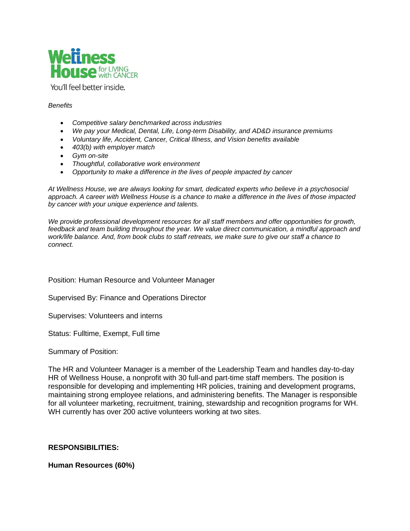

You'll feel better inside.

#### *Benefits*

- *Competitive salary benchmarked across industries*
- *We pay your Medical, Dental, Life, Long-term Disability, and AD&D insurance premiums*
- *Voluntary life, Accident, Cancer, Critical Illness, and Vision benefits available*
- *403(b) with employer match*
- *Gym on-site*
- *Thoughtful, collaborative work environment*
- *Opportunity to make a difference in the lives of people impacted by cancer*

*At Wellness House, we are always looking for smart, dedicated experts who believe in a psychosocial approach. A career with Wellness House is a chance to make a difference in the lives of those impacted by cancer with your unique experience and talents.*

*We provide professional development resources for all staff members and offer opportunities for growth,*  feedback and team building throughout the year. We value direct communication, a mindful approach and *work/life balance. And, from book clubs to staff retreats, we make sure to give our staff a chance to connect.*

Position: Human Resource and Volunteer Manager

Supervised By: Finance and Operations Director

Supervises: Volunteers and interns

Status: Fulltime, Exempt, Full time

Summary of Position:

The HR and Volunteer Manager is a member of the Leadership Team and handles day-to-day HR of Wellness House, a nonprofit with 30 full-and part-time staff members. The position is responsible for developing and implementing HR policies, training and development programs, maintaining strong employee relations, and administering benefits. The Manager is responsible for all volunteer marketing, recruitment, training, stewardship and recognition programs for WH. WH currently has over 200 active volunteers working at two sites.

### **RESPONSIBILITIES:**

### **Human Resources (60%)**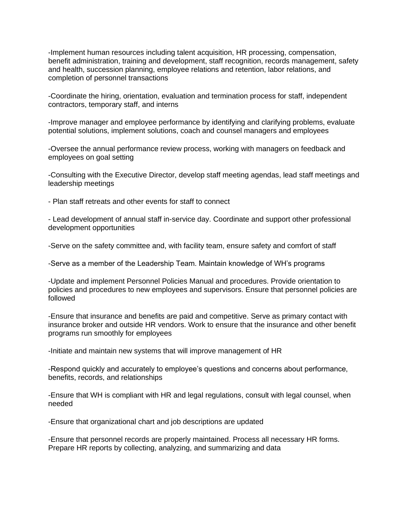-Implement human resources including talent acquisition, HR processing, compensation, benefit administration, training and development, staff recognition, records management, safety and health, succession planning, employee relations and retention, labor relations, and completion of personnel transactions

-Coordinate the hiring, orientation, evaluation and termination process for staff, independent contractors, temporary staff, and interns

-Improve manager and employee performance by identifying and clarifying problems, evaluate potential solutions, implement solutions, coach and counsel managers and employees

-Oversee the annual performance review process, working with managers on feedback and employees on goal setting

-Consulting with the Executive Director, develop staff meeting agendas, lead staff meetings and leadership meetings

- Plan staff retreats and other events for staff to connect

- Lead development of annual staff in-service day. Coordinate and support other professional development opportunities

-Serve on the safety committee and, with facility team, ensure safety and comfort of staff

-Serve as a member of the Leadership Team. Maintain knowledge of WH's programs

-Update and implement Personnel Policies Manual and procedures. Provide orientation to policies and procedures to new employees and supervisors. Ensure that personnel policies are followed

-Ensure that insurance and benefits are paid and competitive. Serve as primary contact with insurance broker and outside HR vendors. Work to ensure that the insurance and other benefit programs run smoothly for employees

-Initiate and maintain new systems that will improve management of HR

-Respond quickly and accurately to employee's questions and concerns about performance, benefits, records, and relationships

-Ensure that WH is compliant with HR and legal regulations, consult with legal counsel, when needed

-Ensure that organizational chart and job descriptions are updated

-Ensure that personnel records are properly maintained. Process all necessary HR forms. Prepare HR reports by collecting, analyzing, and summarizing and data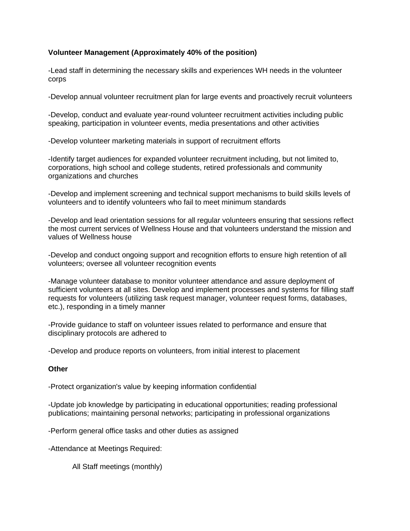# **Volunteer Management (Approximately 40% of the position)**

-Lead staff in determining the necessary skills and experiences WH needs in the volunteer corps

-Develop annual volunteer recruitment plan for large events and proactively recruit volunteers

-Develop, conduct and evaluate year-round volunteer recruitment activities including public speaking, participation in volunteer events, media presentations and other activities

-Develop volunteer marketing materials in support of recruitment efforts

-Identify target audiences for expanded volunteer recruitment including, but not limited to, corporations, high school and college students, retired professionals and community organizations and churches

-Develop and implement screening and technical support mechanisms to build skills levels of volunteers and to identify volunteers who fail to meet minimum standards

-Develop and lead orientation sessions for all regular volunteers ensuring that sessions reflect the most current services of Wellness House and that volunteers understand the mission and values of Wellness house

-Develop and conduct ongoing support and recognition efforts to ensure high retention of all volunteers; oversee all volunteer recognition events

-Manage volunteer database to monitor volunteer attendance and assure deployment of sufficient volunteers at all sites. Develop and implement processes and systems for filling staff requests for volunteers (utilizing task request manager, volunteer request forms, databases, etc.), responding in a timely manner

-Provide guidance to staff on volunteer issues related to performance and ensure that disciplinary protocols are adhered to

-Develop and produce reports on volunteers, from initial interest to placement

## **Other**

-Protect organization's value by keeping information confidential

-Update job knowledge by participating in educational opportunities; reading professional publications; maintaining personal networks; participating in professional organizations

-Perform general office tasks and other duties as assigned

-Attendance at Meetings Required:

All Staff meetings (monthly)